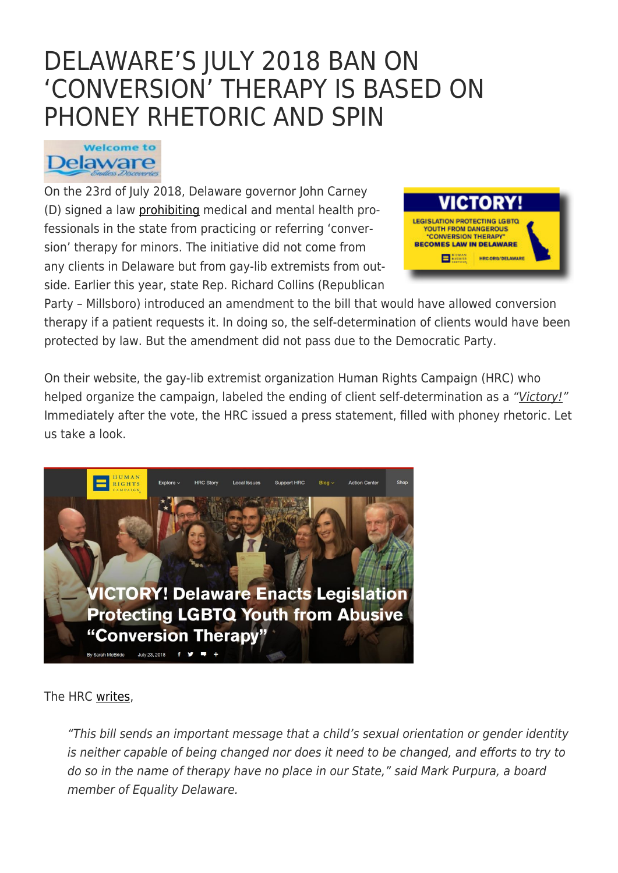# [DELAWARE'S JULY 2018 BAN ON](https://exgaycalling.com/2018/08/29/delawares-july-2018-ban-on-conversion-therapy-is-based-on-phoney-rhetoric-and-spin/) ['CONVERSION' THERAPY IS BASED ON](https://exgaycalling.com/2018/08/29/delawares-july-2018-ban-on-conversion-therapy-is-based-on-phoney-rhetoric-and-spin/) [PHONEY RHETORIC AND SPIN](https://exgaycalling.com/2018/08/29/delawares-july-2018-ban-on-conversion-therapy-is-based-on-phoney-rhetoric-and-spin/)

# **Welcome to** Delaware

On the 23rd of July 2018, Delaware governor John Carney (D) signed a law [prohibiting](http://www.delawarepublic.org/post/gov-carney-signs-law-banning-conversion-therapy) medical and mental health professionals in the state from practicing or referring 'conversion' therapy for minors. The initiative did not come from any clients in Delaware but from gay-lib extremists from outside. Earlier this year, state Rep. Richard Collins (Republican



Party – Millsboro) introduced an amendment to the bill that would have allowed conversion therapy if a patient requests it. In doing so, the self-determination of clients would have been protected by law. But the amendment did not pass due to the Democratic Party.

On their website, the gay-lib extremist organization Human Rights Campaign (HRC) who helped organize the campaign, labeled the ending of client self-determination as a "Victory!" Immediately after the vote, the HRC issued a press statement, filled with phoney rhetoric. Let us take a look.



The HRC [writes](http://www.hrc.org/blog/delaware-enacts-legislation-protecting-lgbtq-youth-from-conversion-therapy),

"This bill sends an important message that a child's sexual orientation or gender identity is neither capable of being changed nor does it need to be changed, and efforts to try to do so in the name of therapy have no place in our State," said Mark Purpura, a board member of Equality Delaware.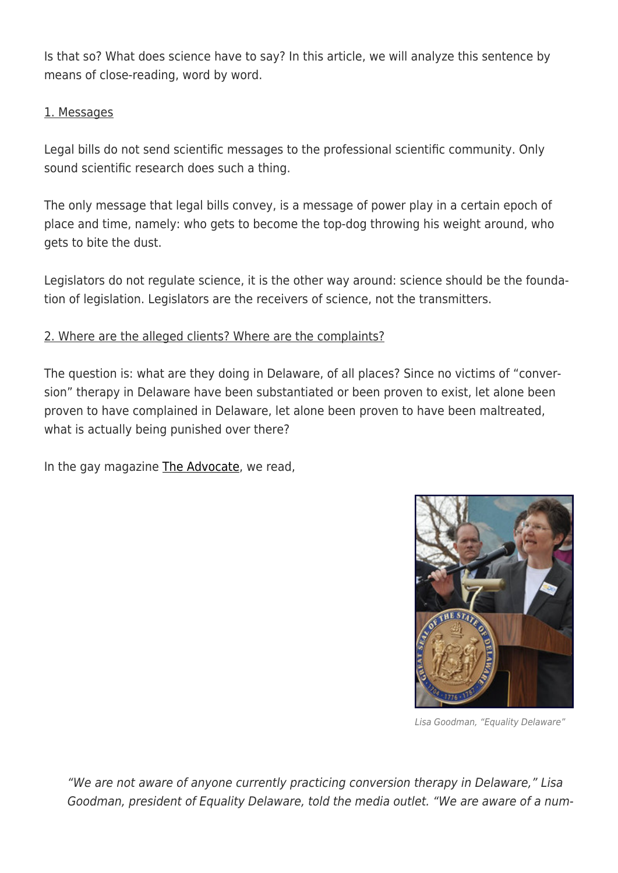Is that so? What does science have to say? In this article, we will analyze this sentence by means of close-reading, word by word.

### 1. Messages

Legal bills do not send scientific messages to the professional scientific community. Only sound scientific research does such a thing.

The only message that legal bills convey, is a message of power play in a certain epoch of place and time, namely: who gets to become the top-dog throwing his weight around, who gets to bite the dust.

Legislators do not regulate science, it is the other way around: science should be the foundation of legislation. Legislators are the receivers of science, not the transmitters.

# 2. Where are the alleged clients? Where are the complaints?

The question is: what are they doing in Delaware, of all places? Since no victims of "conversion" therapy in Delaware have been substantiated or been proven to exist, let alone been proven to have complained in Delaware, let alone been proven to have been maltreated, what is actually being punished over there?

In the gay magazine [The Advocate,](https://www.advocate.com/politics/2018/7/23/delaware-now-15th-state-ban-conversion-therapy-minors) we read,



Lisa Goodman, "Equality Delaware"

"We are not aware of anyone currently practicing conversion therapy in Delaware," Lisa Goodman, president of Equality Delaware, told the media outlet. "We are aware of a num-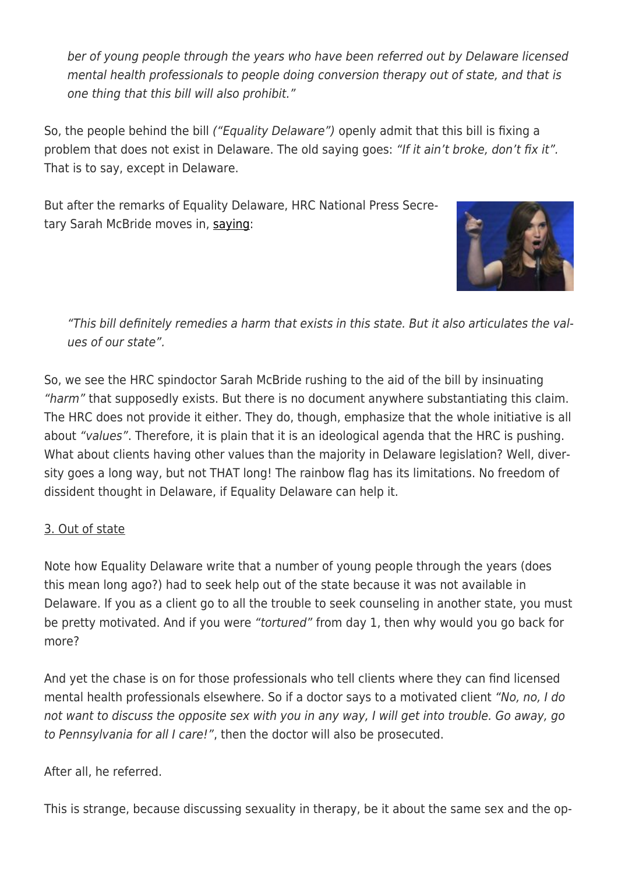ber of young people through the years who have been referred out by Delaware licensed mental health professionals to people doing conversion therapy out of state, and that is one thing that this bill will also prohibit."

So, the people behind the bill ("Equality Delaware") openly admit that this bill is fixing a problem that does not exist in Delaware. The old saying goes: "If it ain't broke, don't fix it". That is to say, except in Delaware.

But after the remarks of Equality Delaware, HRC National Press Secretary Sarah McBride moves in, [saying:](http://www.delawarepublic.org/post/gov-carney-signs-law-banning-conversion-therapy)



"This bill definitely remedies a harm that exists in this state. But it also articulates the values of our state".

So, we see the HRC spindoctor Sarah McBride rushing to the aid of the bill by insinuating "harm" that supposedly exists. But there is no document anywhere substantiating this claim. The HRC does not provide it either. They do, though, emphasize that the whole initiative is all about "values". Therefore, it is plain that it is an ideological agenda that the HRC is pushing. What about clients having other values than the majority in Delaware legislation? Well, diversity goes a long way, but not THAT long! The rainbow flag has its limitations. No freedom of dissident thought in Delaware, if Equality Delaware can help it.

### 3. Out of state

Note how Equality Delaware write that a number of young people through the years (does this mean long ago?) had to seek help out of the state because it was not available in Delaware. If you as a client go to all the trouble to seek counseling in another state, you must be pretty motivated. And if you were "tortured" from day 1, then why would you go back for more?

And yet the chase is on for those professionals who tell clients where they can find licensed mental health professionals elsewhere. So if a doctor says to a motivated client "No, no, I do not want to discuss the opposite sex with you in any way, I will get into trouble. Go away, go to Pennsylvania for all I care!", then the doctor will also be prosecuted.

After all, he referred.

This is strange, because discussing sexuality in therapy, be it about the same sex and the op-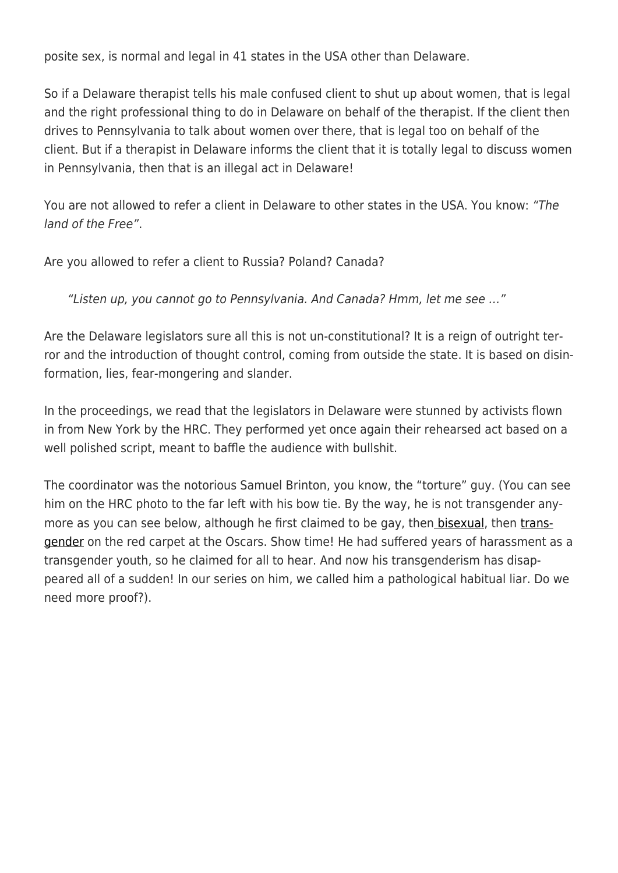posite sex, is normal and legal in 41 states in the USA other than Delaware.

So if a Delaware therapist tells his male confused client to shut up about women, that is legal and the right professional thing to do in Delaware on behalf of the therapist. If the client then drives to Pennsylvania to talk about women over there, that is legal too on behalf of the client. But if a therapist in Delaware informs the client that it is totally legal to discuss women in Pennsylvania, then that is an illegal act in Delaware!

You are not allowed to refer a client in Delaware to other states in the USA. You know: "The land of the Free".

Are you allowed to refer a client to Russia? Poland? Canada?

"Listen up, you cannot go to Pennsylvania. And Canada? Hmm, let me see …"

Are the Delaware legislators sure all this is not un-constitutional? It is a reign of outright terror and the introduction of thought control, coming from outside the state. It is based on disinformation, lies, fear-mongering and slander.

In the proceedings, we read that the legislators in Delaware were stunned by activists flown in from New York by the HRC. They performed yet once again their rehearsed act based on a well polished script, meant to baffle the audience with bullshit.

The coordinator was the notorious Samuel Brinton, you know, the "torture" guy. (You can see him on the HRC photo to the far left with his bow tie. By the way, he is not transgender anymore as you can see below, although he first claimed to be gay, the[n bisexual,](https://exgaycalling.com/2018/01/28/samuel-brinton-strikes-again/) then [trans](https://exgaycalling.com/2018/04/05/samuel-brintons-latest-move-transgender/)[gender](https://exgaycalling.com/2018/04/05/samuel-brintons-latest-move-transgender/) on the red carpet at the Oscars. Show time! He had suffered years of harassment as a transgender youth, so he claimed for all to hear. And now his transgenderism has disappeared all of a sudden! In our series on him, we called him a pathological habitual liar. Do we need more proof?).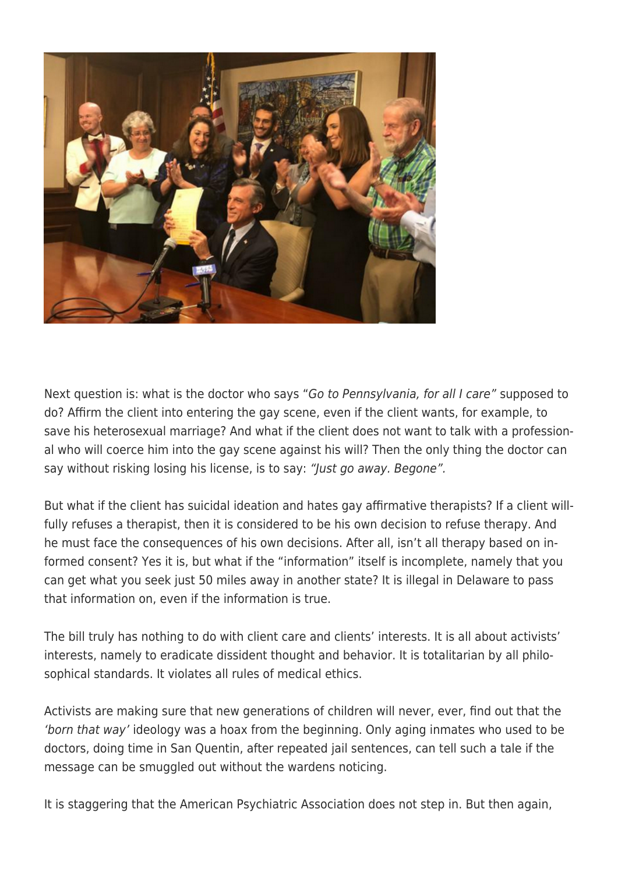

Next question is: what is the doctor who says "Go to Pennsylvania, for all I care" supposed to do? Affirm the client into entering the gay scene, even if the client wants, for example, to save his heterosexual marriage? And what if the client does not want to talk with a professional who will coerce him into the gay scene against his will? Then the only thing the doctor can say without risking losing his license, is to say: "Just go away. Begone".

But what if the client has suicidal ideation and hates gay affirmative therapists? If a client willfully refuses a therapist, then it is considered to be his own decision to refuse therapy. And he must face the consequences of his own decisions. After all, isn't all therapy based on informed consent? Yes it is, but what if the "information" itself is incomplete, namely that you can get what you seek just 50 miles away in another state? It is illegal in Delaware to pass that information on, even if the information is true.

The bill truly has nothing to do with client care and clients' interests. It is all about activists' interests, namely to eradicate dissident thought and behavior. It is totalitarian by all philosophical standards. It violates all rules of medical ethics.

Activists are making sure that new generations of children will never, ever, find out that the 'born that way' ideology was a hoax from the beginning. Only aging inmates who used to be doctors, doing time in San Quentin, after repeated jail sentences, can tell such a tale if the message can be smuggled out without the wardens noticing.

It is staggering that the American Psychiatric Association does not step in. But then again,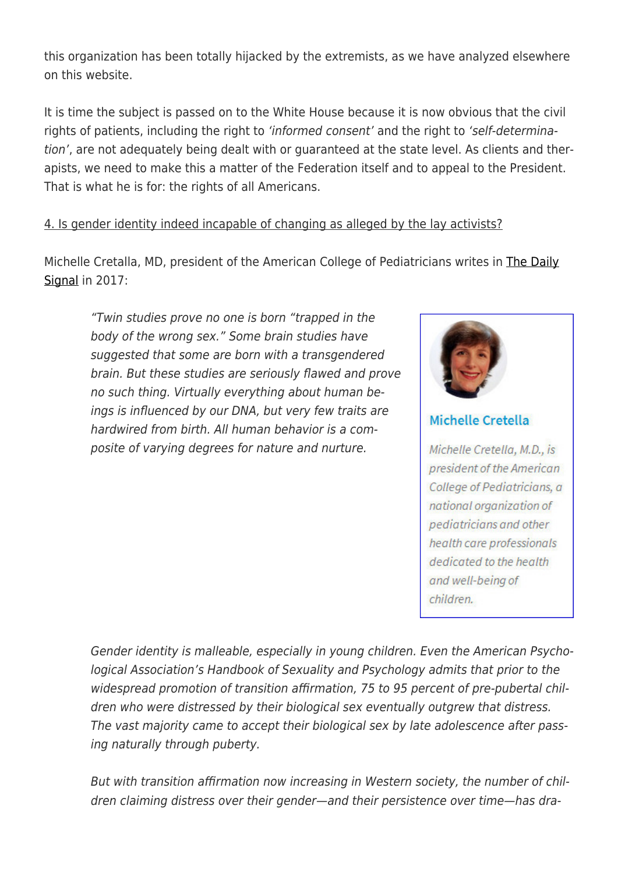this organization has been totally hijacked by the extremists, as we have analyzed elsewhere on this website.

It is time the subject is passed on to the White House because it is now obvious that the civil rights of patients, including the right to 'informed consent' and the right to 'self-determination', are not adequately being dealt with or guaranteed at the state level. As clients and therapists, we need to make this a matter of the Federation itself and to appeal to the President. That is what he is for: the rights of all Americans.

# 4. Is gender identity indeed incapable of changing as alleged by the lay activists?

Michelle Cretalla, MD, president of the American College of Pediatricians writes in [The Daily](https://www.dailysignal.com//print?post_id=342833) [Signal](https://www.dailysignal.com//print?post_id=342833) in 2017:

"Twin studies prove no one is born "trapped in the body of the wrong sex." Some brain studies have suggested that some are born with a transgendered brain. But these studies are seriously flawed and prove no such thing. Virtually everything about human beings is influenced by our DNA, but very few traits are hardwired from birth. All human behavior is a composite of varying degrees for nature and nurture.



# Michelle Cretella

Michelle Cretella, M.D., is president of the American College of Pediatricians, a national organization of pediatricians and other health care professionals dedicated to the health and well-being of children.

Gender identity is malleable, especially in young children. Even the American Psychological Association's Handbook of Sexuality and Psychology admits that prior to the widespread promotion of transition affirmation, 75 to 95 percent of pre-pubertal children who were distressed by their biological sex eventually outgrew that distress. The vast majority came to accept their biological sex by late adolescence after passing naturally through puberty.

But with transition affirmation now increasing in Western society, the number of children claiming distress over their gender—and their persistence over time—has dra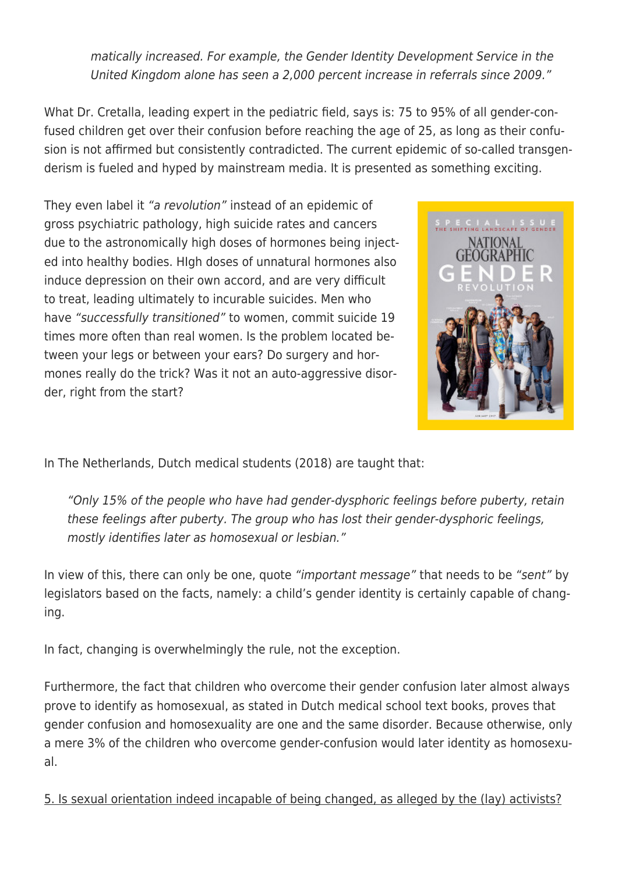matically increased. For example, the Gender Identity Development Service in the United Kingdom alone has seen a 2,000 percent increase in referrals since 2009."

What Dr. Cretalla, leading expert in the pediatric field, says is: 75 to 95% of all gender-confused children get over their confusion before reaching the age of 25, as long as their confusion is not affirmed but consistently contradicted. The current epidemic of so-called transgenderism is fueled and hyped by mainstream media. It is presented as something exciting.

They even label it "a revolution" instead of an epidemic of gross psychiatric pathology, high suicide rates and cancers due to the astronomically high doses of hormones being injected into healthy bodies. HIgh doses of unnatural hormones also induce depression on their own accord, and are very difficult to treat, leading ultimately to incurable suicides. Men who have "successfully transitioned" to women, commit suicide 19 times more often than real women. Is the problem located between your legs or between your ears? Do surgery and hormones really do the trick? Was it not an auto-aggressive disorder, right from the start?



In The Netherlands, Dutch medical students (2018) are taught that:

"Only 15% of the people who have had gender-dysphoric feelings before puberty, retain these feelings after puberty. The group who has lost their gender-dysphoric feelings, mostly identifies later as homosexual or lesbian."

In view of this, there can only be one, quote "important message" that needs to be "sent" by legislators based on the facts, namely: a child's gender identity is certainly capable of changing.

In fact, changing is overwhelmingly the rule, not the exception.

Furthermore, the fact that children who overcome their gender confusion later almost always prove to identify as homosexual, as stated in Dutch medical school text books, proves that gender confusion and homosexuality are one and the same disorder. Because otherwise, only a mere 3% of the children who overcome gender-confusion would later identity as homosexual.

5. Is sexual orientation indeed incapable of being changed, as alleged by the (lay) activists?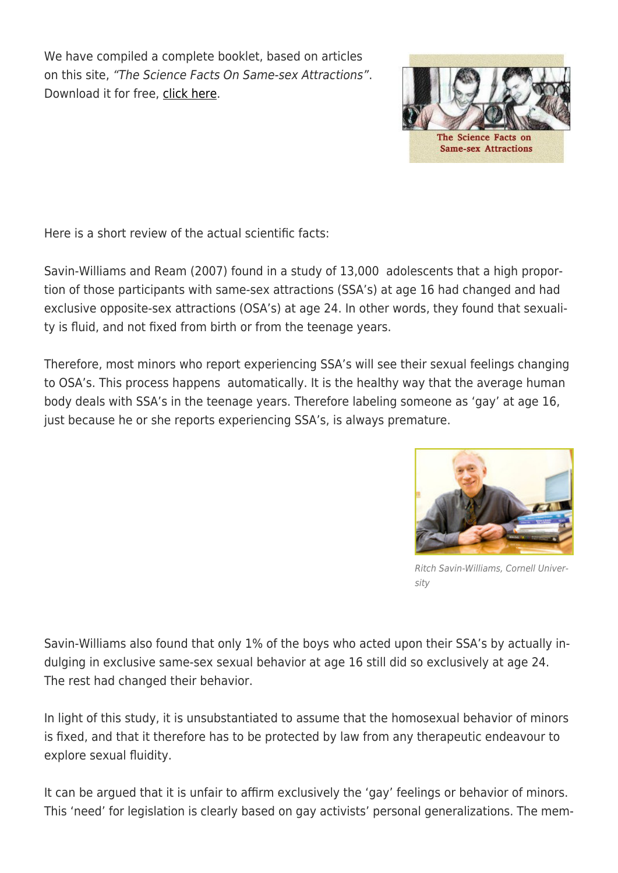We have compiled a complete booklet, based on articles on this site, "The Science Facts On Same-sex Attractions". Download it for free, [click here](https://exgaycalling.com/wp-content/uploads/2018/02/Science-facts-booklet-v.1.pdf).



The Science Facts on **Same-sex Attractions** 

Here is a short review of the actual scientific facts:

Savin-Williams and Ream (2007) found in a study of 13,000 adolescents that a high proportion of those participants with same-sex attractions (SSA's) at age 16 had changed and had exclusive opposite-sex attractions (OSA's) at age 24. In other words, they found that sexuality is fluid, and not fixed from birth or from the teenage years.

Therefore, most minors who report experiencing SSA's will see their sexual feelings changing to OSA's. This process happens automatically. It is the healthy way that the average human body deals with SSA's in the teenage years. Therefore labeling someone as 'gay' at age 16, just because he or she reports experiencing SSA's, is always premature.



Ritch Savin-Williams, Cornell University

Savin-Williams also found that only 1% of the boys who acted upon their SSA's by actually indulging in exclusive same-sex sexual behavior at age 16 still did so exclusively at age 24. The rest had changed their behavior.

In light of this study, it is unsubstantiated to assume that the homosexual behavior of minors is fixed, and that it therefore has to be protected by law from any therapeutic endeavour to explore sexual fluidity.

It can be argued that it is unfair to affirm exclusively the 'gay' feelings or behavior of minors. This 'need' for legislation is clearly based on gay activists' personal generalizations. The mem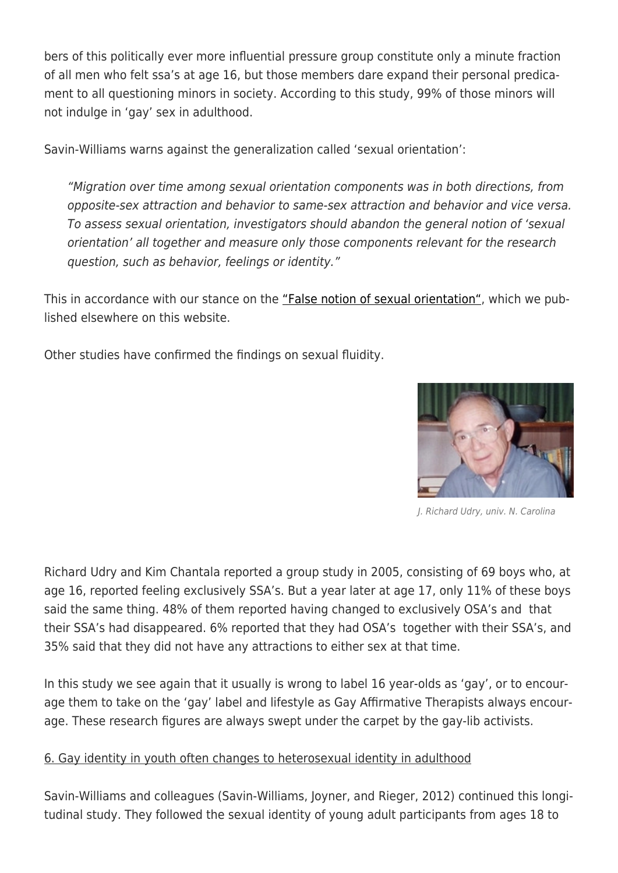bers of this politically ever more influential pressure group constitute only a minute fraction of all men who felt ssa's at age 16, but those members dare expand their personal predicament to all questioning minors in society. According to this study, 99% of those minors will not indulge in 'gay' sex in adulthood.

Savin-Williams warns against the generalization called 'sexual orientation':

"Migration over time among sexual orientation components was in both directions, from opposite-sex attraction and behavior to same-sex attraction and behavior and vice versa. To assess sexual orientation, investigators should abandon the general notion of 'sexual orientation' all together and measure only those components relevant for the research question, such as behavior, feelings or identity."

This in accordance with our stance on the ["False notion of sexual orientation",](https://exgaycalling.com/2016/05/26/the-false-notion-of-sexual-orientation/) which we published elsewhere on this website.

Other studies have confirmed the findings on sexual fluidity.



J. Richard Udry, univ. N. Carolina

Richard Udry and Kim Chantala reported a group study in 2005, consisting of 69 boys who, at age 16, reported feeling exclusively SSA's. But a year later at age 17, only 11% of these boys said the same thing. 48% of them reported having changed to exclusively OSA's and that their SSA's had disappeared. 6% reported that they had OSA's together with their SSA's, and 35% said that they did not have any attractions to either sex at that time.

In this study we see again that it usually is wrong to label 16 year-olds as 'gay', or to encourage them to take on the 'gay' label and lifestyle as Gay Affirmative Therapists always encourage. These research figures are always swept under the carpet by the gay-lib activists.

### 6. Gay identity in youth often changes to heterosexual identity in adulthood

Savin-Williams and colleagues (Savin-Williams, Joyner, and Rieger, 2012) continued this longitudinal study. They followed the sexual identity of young adult participants from ages 18 to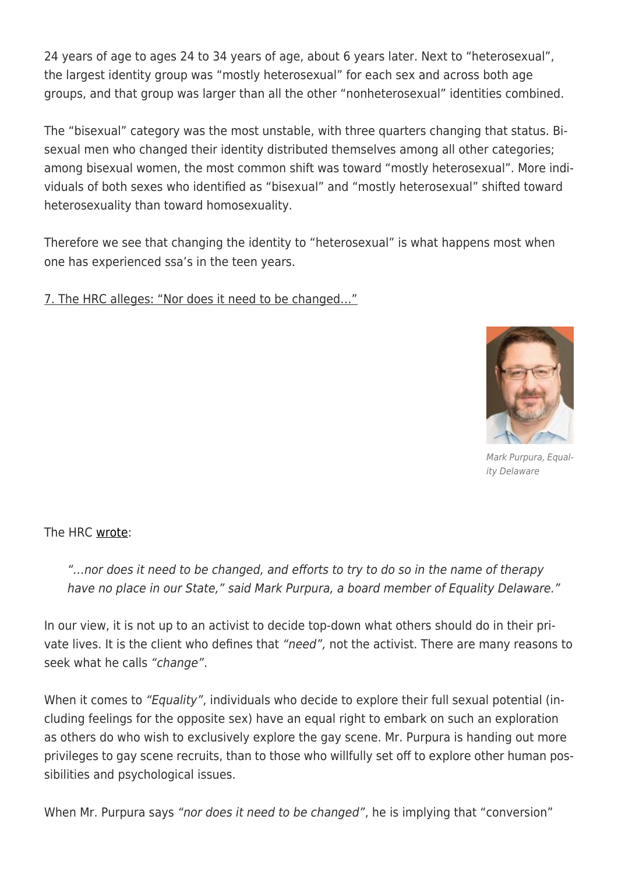24 years of age to ages 24 to 34 years of age, about 6 years later. Next to "heterosexual", the largest identity group was "mostly heterosexual" for each sex and across both age groups, and that group was larger than all the other "nonheterosexual" identities combined.

The "bisexual" category was the most unstable, with three quarters changing that status. Bisexual men who changed their identity distributed themselves among all other categories; among bisexual women, the most common shift was toward "mostly heterosexual". More individuals of both sexes who identified as "bisexual" and "mostly heterosexual" shifted toward heterosexuality than toward homosexuality.

Therefore we see that changing the identity to "heterosexual" is what happens most when one has experienced ssa's in the teen years.

7. The HRC alleges: "Nor does it need to be changed…"



Mark Purpura, Equality Delaware

The HRC [wrote](https://www.hrc.org/blog/delaware-enacts-legislation-protecting-lgbtq-youth-from-conversion-therapy):

"…nor does it need to be changed, and efforts to try to do so in the name of therapy have no place in our State," said Mark Purpura, a board member of Equality Delaware."

In our view, it is not up to an activist to decide top-down what others should do in their private lives. It is the client who defines that "need", not the activist. There are many reasons to seek what he calls "change".

When it comes to "Equality", individuals who decide to explore their full sexual potential (including feelings for the opposite sex) have an equal right to embark on such an exploration as others do who wish to exclusively explore the gay scene. Mr. Purpura is handing out more privileges to gay scene recruits, than to those who willfully set off to explore other human possibilities and psychological issues.

When Mr. Purpura says "nor does it need to be changed", he is implying that "conversion"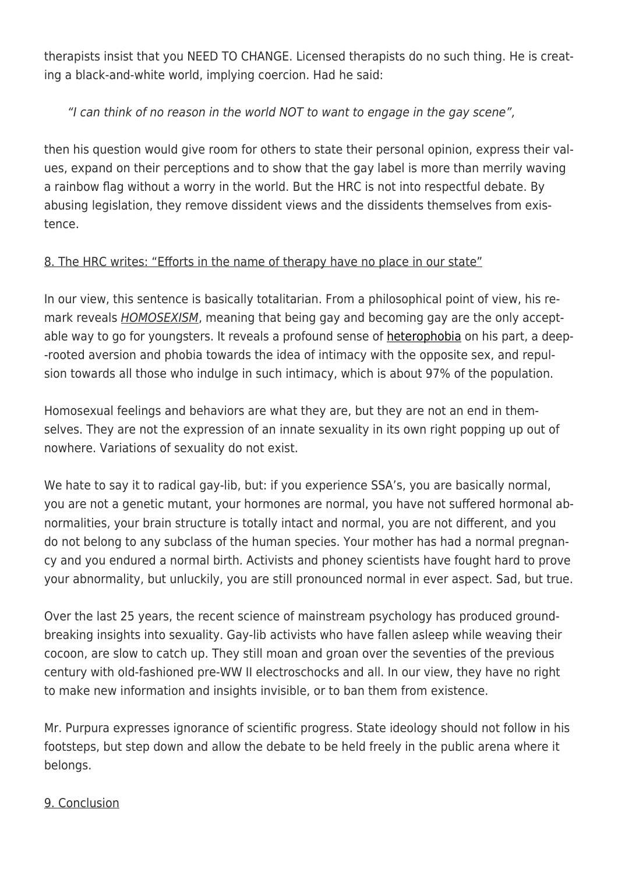therapists insist that you NEED TO CHANGE. Licensed therapists do no such thing. He is creating a black-and-white world, implying coercion. Had he said:

# "I can think of no reason in the world NOT to want to engage in the gay scene",

then his question would give room for others to state their personal opinion, express their values, expand on their perceptions and to show that the gay label is more than merrily waving a rainbow flag without a worry in the world. But the HRC is not into respectful debate. By abusing legislation, they remove dissident views and the dissidents themselves from existence.

# 8. The HRC writes: "Efforts in the name of therapy have no place in our state"

In our view, this sentence is basically totalitarian. From a philosophical point of view, his remark reveals **HOMOSEXISM**, meaning that being gay and becoming gay are the only acceptable way to go for youngsters. It reveals a profound sense of [heterophobia](https://exgaycalling.com/2018/07/07/exploring-your-full-sexual-potential%e2%80%ad-%e2%80%acpart%e2%80%ad-%e2%80%ac524%e2%80%ad-the%e2%80%ac-emerging-of-heterophobia/) on his part, a deep- -rooted aversion and phobia towards the idea of intimacy with the opposite sex, and repulsion towards all those who indulge in such intimacy, which is about 97% of the population.

Homosexual feelings and behaviors are what they are, but they are not an end in themselves. They are not the expression of an innate sexuality in its own right popping up out of nowhere. Variations of sexuality do not exist.

We hate to say it to radical gay-lib, but: if you experience SSA's, you are basically normal, you are not a genetic mutant, your hormones are normal, you have not suffered hormonal abnormalities, your brain structure is totally intact and normal, you are not different, and you do not belong to any subclass of the human species. Your mother has had a normal pregnancy and you endured a normal birth. Activists and phoney scientists have fought hard to prove your abnormality, but unluckily, you are still pronounced normal in ever aspect. Sad, but true.

Over the last 25 years, the recent science of mainstream psychology has produced groundbreaking insights into sexuality. Gay-lib activists who have fallen asleep while weaving their cocoon, are slow to catch up. They still moan and groan over the seventies of the previous century with old-fashioned pre-WW II electroschocks and all. In our view, they have no right to make new information and insights invisible, or to ban them from existence.

Mr. Purpura expresses ignorance of scientific progress. State ideology should not follow in his footsteps, but step down and allow the debate to be held freely in the public arena where it belongs.

### 9. Conclusion